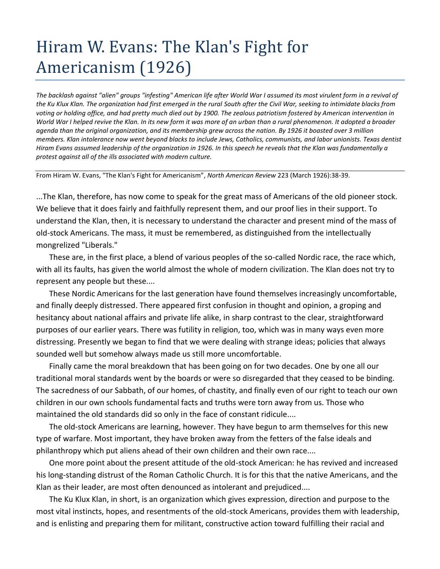## Hiram W. Evans: The Klan's Fight for Americanism (1926)

*The backlash against "alien" groups "infesting" American life after World War I assumed its most virulent form in a revival of the Ku Klux Klan. The organization had first emerged in the rural South after the Civil War, seeking to intimidate blacks from voting or holding office, and had pretty much died out by 1900. The zealous patriotism fostered by American intervention in World War I helped revive the Klan. In its new form it was more of an urban than a rural phenomenon. It adopted a broader agenda than the original organization, and its membership grew across the nation. By 1926 it boasted over 3 million members. Klan intolerance now went beyond blacks to include Jews, Catholics, communists, and labor unionists. Texas dentist Hiram Evans assumed leadership of the organization in 1926. In this speech he reveals that the Klan was fundamentally a protest against all of the ills associated with modern culture.*

From Hiram W. Evans, "The Klan's Fight for Americanism", *North American Review* 223 (March 1926):38-39.

...The Klan, therefore, has now come to speak for the great mass of Americans of the old pioneer stock. We believe that it does fairly and faithfully represent them, and our proof lies in their support. To understand the Klan, then, it is necessary to understand the character and present mind of the mass of old-stock Americans. The mass, it must be remembered, as distinguished from the intellectually mongrelized "Liberals."

These are, in the first place, a blend of various peoples of the so-called Nordic race, the race which, with all its faults, has given the world almost the whole of modern civilization. The Klan does not try to represent any people but these....

These Nordic Americans for the last generation have found themselves increasingly uncomfortable, and finally deeply distressed. There appeared first confusion in thought and opinion, a groping and hesitancy about national affairs and private life alike, in sharp contrast to the clear, straightforward purposes of our earlier years. There was futility in religion, too, which was in many ways even more distressing. Presently we began to find that we were dealing with strange ideas; policies that always sounded well but somehow always made us still more uncomfortable.

Finally came the moral breakdown that has been going on for two decades. One by one all our traditional moral standards went by the boards or were so disregarded that they ceased to be binding. The sacredness of our Sabbath, of our homes, of chastity, and finally even of our right to teach our own children in our own schools fundamental facts and truths were torn away from us. Those who maintained the old standards did so only in the face of constant ridicule....

The old-stock Americans are learning, however. They have begun to arm themselves for this new type of warfare. Most important, they have broken away from the fetters of the false ideals and philanthropy which put aliens ahead of their own children and their own race....

One more point about the present attitude of the old-stock American: he has revived and increased his long-standing distrust of the Roman Catholic Church. It is for this that the native Americans, and the Klan as their leader, are most often denounced as intolerant and prejudiced....

The Ku Klux Klan, in short, is an organization which gives expression, direction and purpose to the most vital instincts, hopes, and resentments of the old-stock Americans, provides them with leadership, and is enlisting and preparing them for militant, constructive action toward fulfilling their racial and